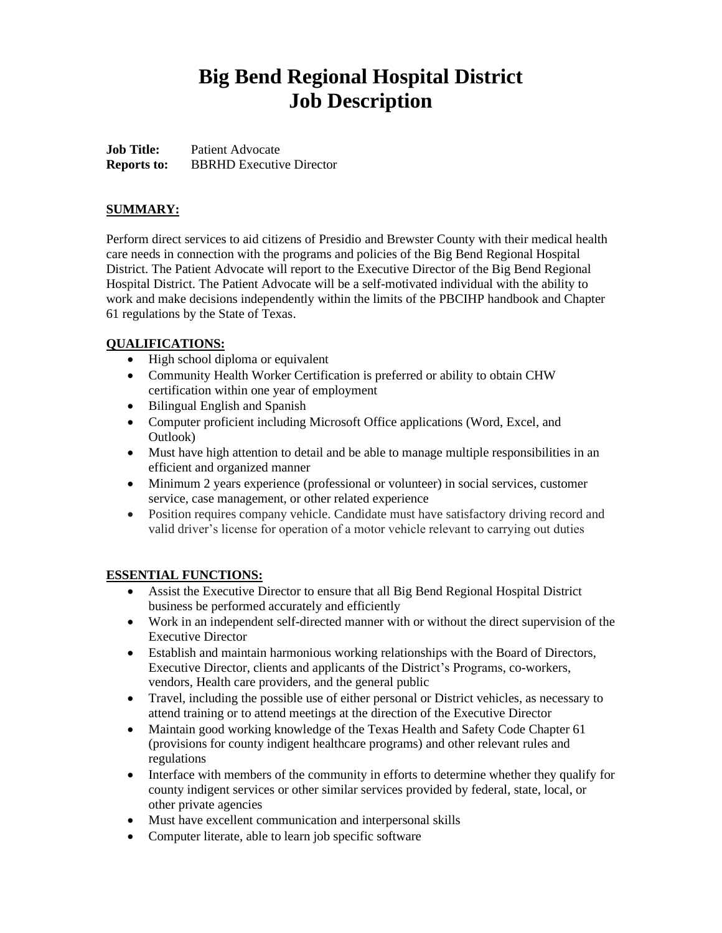# **Big Bend Regional Hospital District Job Description**

**Job Title:** Patient Advocate **Reports to:** BBRHD Executive Director

## **SUMMARY:**

Perform direct services to aid citizens of Presidio and Brewster County with their medical health care needs in connection with the programs and policies of the Big Bend Regional Hospital District. The Patient Advocate will report to the Executive Director of the Big Bend Regional Hospital District. The Patient Advocate will be a self-motivated individual with the ability to work and make decisions independently within the limits of the PBCIHP handbook and Chapter 61 regulations by the State of Texas.

### **QUALIFICATIONS:**

- High school diploma or equivalent
- Community Health Worker Certification is preferred or ability to obtain CHW certification within one year of employment
- Bilingual English and Spanish
- Computer proficient including Microsoft Office applications (Word, Excel, and Outlook)
- Must have high attention to detail and be able to manage multiple responsibilities in an efficient and organized manner
- Minimum 2 years experience (professional or volunteer) in social services, customer service, case management, or other related experience
- Position requires company vehicle. Candidate must have satisfactory driving record and valid driver's license for operation of a motor vehicle relevant to carrying out duties

#### **ESSENTIAL FUNCTIONS:**

- Assist the Executive Director to ensure that all Big Bend Regional Hospital District business be performed accurately and efficiently
- Work in an independent self-directed manner with or without the direct supervision of the Executive Director
- Establish and maintain harmonious working relationships with the Board of Directors, Executive Director, clients and applicants of the District's Programs, co-workers, vendors, Health care providers, and the general public
- Travel, including the possible use of either personal or District vehicles, as necessary to attend training or to attend meetings at the direction of the Executive Director
- Maintain good working knowledge of the Texas Health and Safety Code Chapter 61 (provisions for county indigent healthcare programs) and other relevant rules and regulations
- Interface with members of the community in efforts to determine whether they qualify for county indigent services or other similar services provided by federal, state, local, or other private agencies
- Must have excellent communication and interpersonal skills
- Computer literate, able to learn job specific software